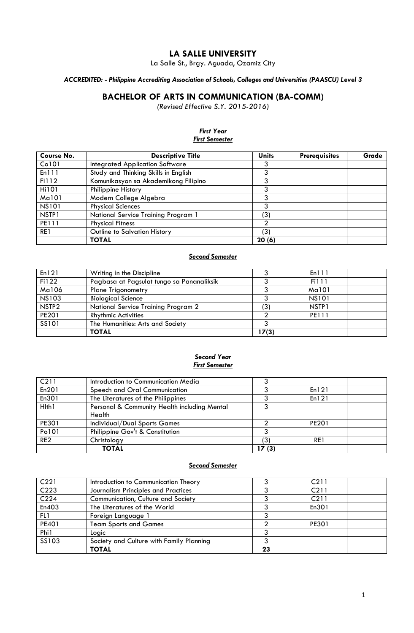# **LA SALLE UNIVERSITY**

La Salle St., Brgy. Aguada, Ozamiz City

*ACCREDITED: - Philippine Accrediting Association of Schools, Colleges and Universities (PAASCU) Level 3*

# **BACHELOR OF ARTS IN COMMUNICATION (BA-COMM)**

*(Revised Effective S.Y. 2015-2016)*

*First Year*

## *First Semester*  **Course No. Descriptive Title Units Prerequisites Grade** Co101 | Integrated Application Software | 3 En111 Study and Thinking Skills in English 3 Fi112 Komunikasyon sa Akademikong Filipino 3 Hi101 Philippine History<br>
Ma101 Modern College Algebra 3 Modern College Algebra 3<br>Physical Sciences 3 NS101 Physical Sciences NSTP1 National Service Training Program 1 (3)<br>PE111 Physical Fitness 2 Physical Fitness 2<br>
Outline to Salvation History (3) RE1 Outline to Salvation History (3)<br> **TOTAL 20 (6) TOTAL 20 (6)**

#### *Second Semester*

| En121             | Writing in the Discipline                 |       | En111             |  |
|-------------------|-------------------------------------------|-------|-------------------|--|
| Fi122             | Pagbasa at Pagsulat tungo sa Pananaliksik |       | Fi111             |  |
| Ma106             | <b>Plane Trigonometry</b>                 |       | Ma101             |  |
| <b>NS103</b>      | <b>Biological Science</b>                 |       | <b>NS101</b>      |  |
| NSTP <sub>2</sub> | National Service Training Program 2       | '3)   | NSTP <sub>1</sub> |  |
| PE201             | <b>Rhythmic Activities</b>                |       | <b>PE111</b>      |  |
| SS101             | The Humanities: Arts and Society          |       |                   |  |
|                   | <b>TOTAL</b>                              | 17(3) |                   |  |

#### *Second Year First Semester*

| C211            | Introduction to Communication Media          |       |              |  |
|-----------------|----------------------------------------------|-------|--------------|--|
| En201           | Speech and Oral Communication                |       | En121        |  |
| En301           | The Literatures of the Philippines           |       | En 121       |  |
| Hlth1           | Personal & Community Health including Mental |       |              |  |
|                 | Health                                       |       |              |  |
| PE301           | Individual/Dual Sports Games                 |       | <b>PE201</b> |  |
| Po101           | Philippine Gov't & Constitution              |       |              |  |
| RE <sub>2</sub> | Christology                                  | (3)   | RE1          |  |
|                 | <b>TOTAL</b>                                 | 17(3) |              |  |

### *Second Semester*

| C <sub>221</sub> | Introduction to Communication Theory     |    | C <sub>211</sub> |
|------------------|------------------------------------------|----|------------------|
| C <sub>223</sub> | Journalism Principles and Practices      |    | C <sub>211</sub> |
| C <sub>224</sub> | Communication, Culture and Society       |    | C <sub>211</sub> |
| En403            | The Literatures of the World             |    | En301            |
| FL1              | Foreign Language 1                       |    |                  |
| <b>PE401</b>     | <b>Team Sports and Games</b>             |    | PE301            |
| Phi1             | Logic                                    |    |                  |
| SS103            | Society and Culture with Family Planning |    |                  |
|                  | <b>TOTAL</b>                             | 23 |                  |